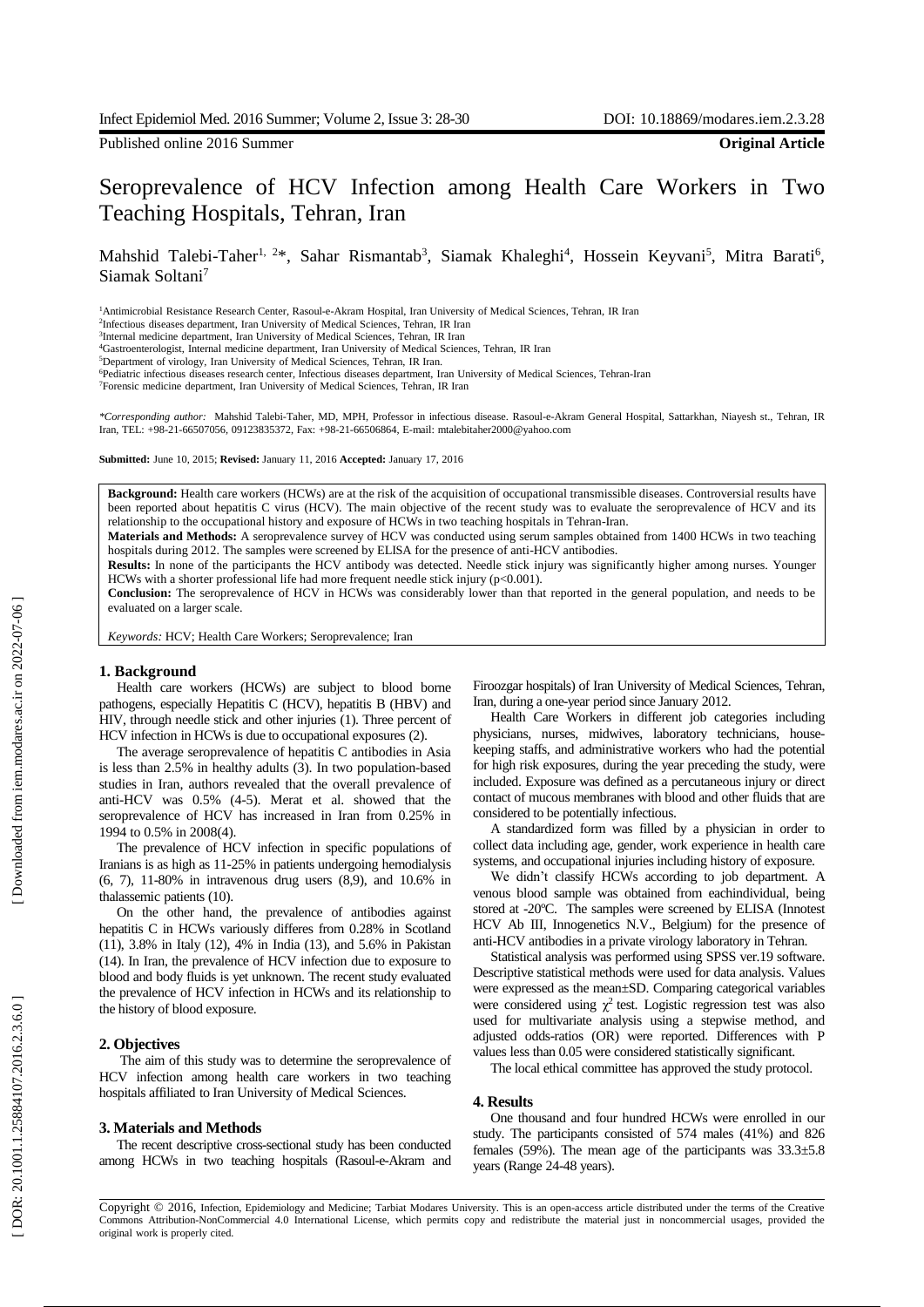Published online 2016 Summer **Original Article**

# Seroprevalence of HCV Infection among Health Care Workers in Two Teac hing Hospitals, Tehran, Iran

Mahshid Talebi-Taher<sup>1, 2\*</sup>, Sahar Rismantab<sup>3</sup>, Siamak Khaleghi<sup>4</sup>, Hossein Keyvani<sup>5</sup>, Mitra Barati<sup>6</sup>, Siamak Soltani<sup>7</sup>

<sup>1</sup>Antimicrobial Resistance Research Center, Rasoul-e-Akram Hospital, Iran University of Medical Sciences, Tehran, IR Iran

2 Infectious diseases department, Iran University of Medical Sciences, Tehran, IR Iran 3 Internal medicine department, Iran University of Medical Sciences, Tehran, IR Iran

<sup>4</sup>Gastroenterologist, Internal medicine department, Iran University of Medical Sciences, Tehran, IR Iran

<sup>5</sup>Department of virology, Iran University of Medical Sciences, Tehran, IR Iran.

<sup>6</sup>Pediatric infectious diseases research center, Infectious diseases department, Iran University of Medical Sciences, Tehran-Iran

<sup>7</sup>Forensic medicine department, Iran University of Medical Sciences, Tehran, IR Iran

*\*Corresponding author:* Mahshid Talebi-Taher, MD, MPH, Professor in infectious disease. Rasoul - e -Akram General Hospital, Sattarkhan, Niayesh st., Tehran, IR Iran, TEL: +98 -21 -66507056, 09123835372, Fax: +98 -21 -66506864, E -mail: [mtalebitaher2000@yahoo.com](mailto:mtalebitaher2000@yahoo.com)

**Submitted:** June 10, 2015; **Revised:** January 11, 2016 **Accepted:** January 17, 2016

**Background:** Health care workers (HCWs) are at the risk of the acquisition of occupational transmissible disease s. Controversial results have been reported about hepatitis C virus (HCV). The main objective of the recent study was to evaluate the seroprevalence of HCV and its relationship to the occupational history and exposure of HCWs in two teaching hospitals in Tehran -Iran .

**Materials and Methods:** A seroprevalence survey of HCV was conducted using serum samples obtained from 1400 HCWs in two teaching hospitals during 2012. The samples were screened by ELISA for the presence of anti-HCV antibodies.

Results: In none of the participants the HCV antibody was detected. Needle stick injury was significantly higher among nurses. Younger HCWs with a shorter professional life had more frequent needle stick injury (p<0.001).

**Conclusion:** The seroprevalence of HCV in HCWs was considerably lower than that reported in the general population, and needs to be evaluated on a larger scale.

*Keywords:* HCV; Health Care Workers; Seroprevalence; Iran

# **1. Background**

Health care workers (HCWs) are subject to blood borne pathogens, especially Hepatitis C (HCV), hepatitis B (HBV) and HIV , through needle stick and other injuries ( 1 ). Three percent of HCV infection in HCWs is due to occupational exposures (2) .

The average seroprevalence of hepatitis C antibodies in Asia is less than 2.5% in healthy adults (3). In two population -based studies in Iran , authors revealed that the overall prevalence of anti -HCV was 0.5% ( 4 - 5 ) . Merat et al. showed that the seroprevalence of HCV has increased in Iran from 0.25% in 1994 to 0.5% in 2008(4).

The prevalence of HCV infection in specific populations of Iranians is as high as 11 -25% in patients undergoing hemodialysis (6, 7 ), 11 -80% in intravenous drug users (8,9 ) , and 10.6 % in thalassemi c patients (10 ) .

On the other hand, the prevalence of antibodies against hepatitis C in HCWs variously differe s from 0.28% in Scotland (11 ), 3.8% in Italy (12 ), 4% in India (13 ) , and 5.6% in Pakistan (14 ). In Iran, the prevalence of HCV infection due to exposure to blood and body fluids is yet unknown. The recent study evaluated the prevalence of HCV infection in HCWs and its relationship to the history of blood exposure.

## **2. Objectives**

The aim of this study was to determine the seroprevalence of HCV infection among health care workers in two teaching hospitals affiliated to Iran University of Medical Sciences.

## **3. Materials and Methods**

The recent descriptive cross -sectional study has been conducted among HCWs in two teaching hospitals (Rasoul-e-Akram and

Firoozgar hospitals) of Iran University of Medical Sciences, Tehran , Iran , during a one -year period since January 2012 .

Health Care Workers in different job categories including physicians, nurses , midwives, laboratory technicians, house keeping staffs , and administrative workers who had the potential for high risk exposures , during the year preceding the study , were included. Exposure was defined as a percutaneous injury or direct contact of mucous membrane s with blood and other fluids that are considered to be potentially infectious.

A standardized form was filled by a physician in order to collect data including age, gender, work experience in health care systems , and occupational injuries including history of exposure.

We didn't classify HCWs according to job department. A venous blood sample was obtained from eachindividual, being stored at -20º C. The samples were screened by ELISA (Innotest HCV Ab III, Innogenetics N . V . , Belgium) for the presence of anti -HCV antibodies in a private virology laboratory in Tehran.

Statistical analysis was performed using SPSS ver.19 software. Descriptive statistical methods were used for data analysis. Values were expressed as the mean±SD. Comparing categorical variables were considered using  $\chi^2$  test. Logistic regression test was also used for multivariate analysis using a stepwise method , and adjusted odds -ratios (OR) were reported. Differences with P values less than 0.05 were considered statistically significant.

The local ethical committee has approved the study protocol.

#### **4. Results**

One thousand and four hundred HCWs were enrolled in our study. The participants consisted of 574 males ( 4 1%) and 826 females (59%). The mean age of the participants was  $33.3 \pm 5.8$ years (Range 24 -48 years).

Copyright © 2016, Infection, Epidemiology and Medicine; Tarbiat Modares University. This is an open -access article distributed under the terms of the Creative Commons Attribution -NonCommercial 4.0 International License, which permits copy and redistribute the material just in noncommercial usages, provided the original work is properly cited.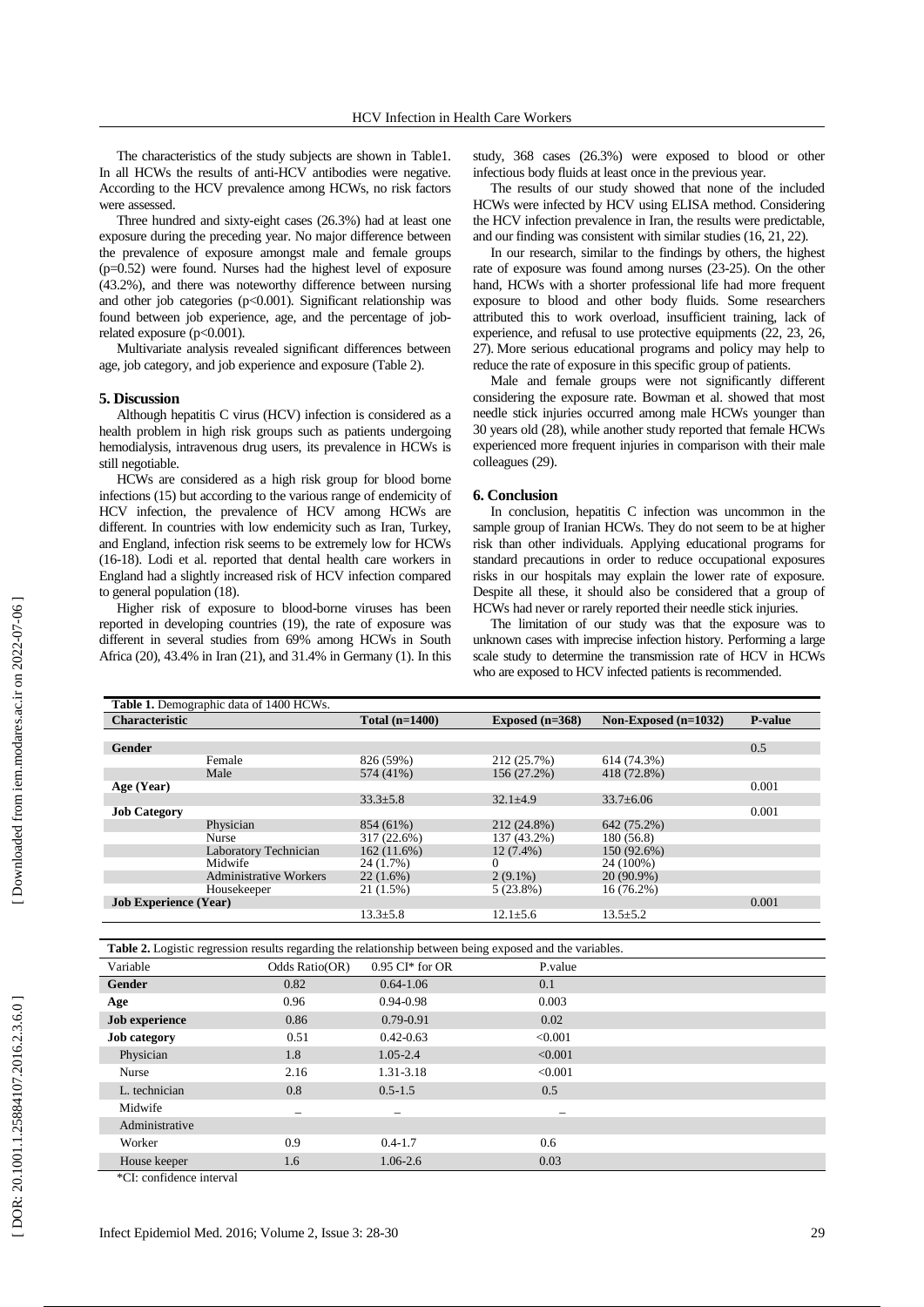The characteristics of the study subjects are shown in Table1. In all HCWs the results of anti -HCV antibodies were negative. According to the HCV prevalence among HCWs, no risk factors

were assessed. Three hundred and sixty -eight cases (26.3%) had at least one exposure during the preceding year. No major difference between the prevalence of exposure amongst male and female groups (p=0.5 2 ) were found. Nurses had the highest level of exposure (43.2%), and there was noteworthy difference between nursing and other job categories (p<0.001). Significant relationship was found between job experience, age , and the percentage of job related exposure (p<0.001).

Multivariate analysis revealed significant differences between age, job category, and job experience and exposure (Table 2).

# **5. Discussion**

Although hepatitis C virus (HCV) infection is considered as a health problem in high risk groups such as patients undergoing hemodialysis, intravenous drug users, its prevalence in HCWs is still negotiable.

HCWs are considered as a high risk group for blood borne infections ( 15) but according to the various range of endemicity of HCV infection, the prevalence of HCV among HCWs are different. In countries with low endemicity such as Iran, Turkey, and England , infection risk seems to be extremely low for HCWs ( 1 6 -18 ) . Lodi et al. reported that dental health care workers in England had a slightly increased risk of HCV infection compared to general population (18 ) .

Higher risk of exposure to blood -borne viruses has been reported in developing countries (19 ), the rate of exposure was different in several studies from 69% among HCWs in South Africa ( 2 0 ), 43.4% in Iran ( 2 1 ), and 31.4% in Germany (1) . In this

study, 368 cases (26.3%) were exposed to blood or other infectious body fluids at least once in the previous year.

The results of our study showed that none of the included HCWs were infected by HCV using ELISA method. Considering the HCV infection prevalence in Iran, the results were predictable, and our finding was consistent with similar studies (16, 21 , 22) .

In our research, similar to the findings by others, the highest rate of exposure was found among nurses (23 -25 ) . On the other hand, HCWs with a shorter professional life had more frequent exposure to blood and other body fluids. Some researchers attributed this to work overload , insufficient training, lack of experience , and refusal to use protective equipments (22, 23, 26, 27) . More serious educational programs and policy may help to reduce the rate of exposure in this specific group of patients. Male and female groups were not significantly different

considering the exposure rate. Bowman et al. showed that most needle stick injuries occurred among male HCWs younger than 30 years old (28), while another study reported that female HCWs experienced more frequent injuries in comparison with their male colleagues (29).

#### **6. Conclusion**

In conclusion, hepatitis C infection was uncommon in the sample group of Iranian HCWs . They do not seem to be at higher risk than other individuals. Applying educational programs for standard precautions in order to reduce occupational exposures risks in our hospitals may explain the lower rate of exposure. Despite all these, it should also be considered that a group of HCWs had never or rarely reported their needle stick injuries.

The limitation of our study was that the exposure was to unknown cases with imprecise infection history. Performing a large scale study to determine the transmission rate of HCV in HCWs who are exposed to HCV infected patients is recommended.

|                              | Table 1. Demographic data of 1400 HCWs. |                  |                   |                        |                |
|------------------------------|-----------------------------------------|------------------|-------------------|------------------------|----------------|
| <b>Characteristic</b>        |                                         | Total $(n=1400)$ | Exposed $(n=368)$ | Non-Exposed $(n=1032)$ | <b>P-value</b> |
|                              |                                         |                  |                   |                        |                |
| Gender                       |                                         |                  |                   |                        | 0.5            |
|                              | Female                                  | 826 (59%)        | 212 (25.7%)       | 614 (74.3%)            |                |
|                              | Male                                    | 574 (41%)        | 156 (27.2%)       | 418 (72.8%)            |                |
| Age (Year)                   |                                         |                  |                   |                        | 0.001          |
|                              |                                         | $33.3 \pm 5.8$   | $32.1 \pm 4.9$    | $33.7 \pm 6.06$        |                |
| <b>Job Category</b>          |                                         |                  |                   |                        | 0.001          |
|                              | Physician                               | 854 (61%)        | 212 (24.8%)       | 642 (75.2%)            |                |
|                              | <b>Nurse</b>                            | 317 (22.6%)      | 137 (43.2%)       | 180 (56.8)             |                |
|                              | Laboratory Technician                   | 162(11.6%)       | $12(7.4\%)$       | 150 (92.6%)            |                |
|                              | Midwife                                 | 24 (1.7%)        | 0                 | 24 (100%)              |                |
|                              | <b>Administrative Workers</b>           | $22(1.6\%)$      | $2(9.1\%)$        | $20(90.9\%)$           |                |
|                              | Housekeeper                             | 21 (1.5%)        | $5(23.8\%)$       | $16(76.2\%)$           |                |
| <b>Job Experience (Year)</b> |                                         |                  |                   |                        | 0.001          |
|                              |                                         | $13.3 \pm 5.8$   | $12.1 + 5.6$      | $13.5 \pm 5.2$         |                |

**Table 2.** Logistic regression results regarding the relationship between being exposed and the variables.

| <b>Table 2:</b> Equine regression results regulantly the relationship between being exposed and the variables. |                |                          |                          |  |  |  |
|----------------------------------------------------------------------------------------------------------------|----------------|--------------------------|--------------------------|--|--|--|
| Variable                                                                                                       | Odds Ratio(OR) | $0.95$ CI* for OR        | P.value                  |  |  |  |
| Gender                                                                                                         | 0.82           | $0.64 - 1.06$            | 0.1                      |  |  |  |
| Age                                                                                                            | 0.96           | $0.94 - 0.98$            | 0.003                    |  |  |  |
| <b>Job</b> experience                                                                                          | 0.86           | $0.79 - 0.91$            | 0.02                     |  |  |  |
| <b>Job</b> category                                                                                            | 0.51           | $0.42 - 0.63$            | < 0.001                  |  |  |  |
| Physician                                                                                                      | 1.8            | $1.05 - 2.4$             | < 0.001                  |  |  |  |
| Nurse                                                                                                          | 2.16           | 1.31-3.18                | < 0.001                  |  |  |  |
| L. technician                                                                                                  | 0.8            | $0.5 - 1.5$              | 0.5                      |  |  |  |
| Midwife                                                                                                        |                | $\overline{\phantom{0}}$ | $\overline{\phantom{0}}$ |  |  |  |
| Administrative                                                                                                 |                |                          |                          |  |  |  |
| Worker                                                                                                         | 0.9            | $0.4 - 1.7$              | 0.6                      |  |  |  |
| House keeper                                                                                                   | 1.6            | $1.06 - 2.6$             | 0.03                     |  |  |  |
|                                                                                                                |                |                          |                          |  |  |  |

\*CI: confidence interval